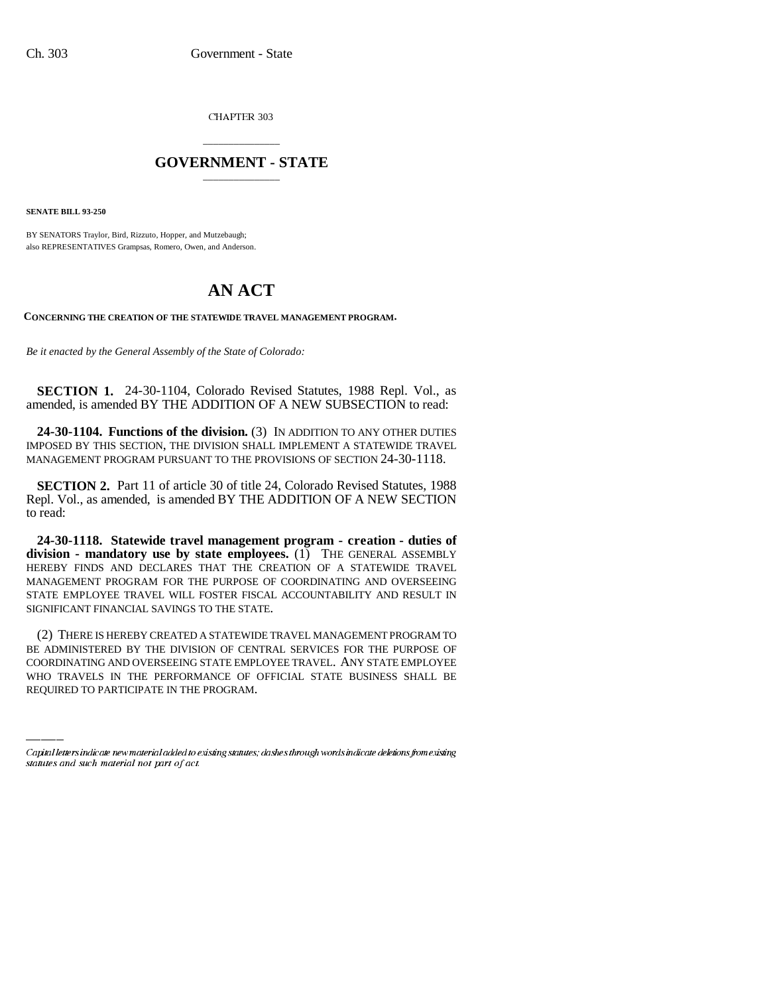CHAPTER 303

## \_\_\_\_\_\_\_\_\_\_\_\_\_\_\_ **GOVERNMENT - STATE** \_\_\_\_\_\_\_\_\_\_\_\_\_\_\_

**SENATE BILL 93-250**

BY SENATORS Traylor, Bird, Rizzuto, Hopper, and Mutzebaugh; also REPRESENTATIVES Grampsas, Romero, Owen, and Anderson.

## **AN ACT**

**CONCERNING THE CREATION OF THE STATEWIDE TRAVEL MANAGEMENT PROGRAM.**

*Be it enacted by the General Assembly of the State of Colorado:*

**SECTION 1.** 24-30-1104, Colorado Revised Statutes, 1988 Repl. Vol., as amended, is amended BY THE ADDITION OF A NEW SUBSECTION to read:

**24-30-1104. Functions of the division.** (3) IN ADDITION TO ANY OTHER DUTIES IMPOSED BY THIS SECTION, THE DIVISION SHALL IMPLEMENT A STATEWIDE TRAVEL MANAGEMENT PROGRAM PURSUANT TO THE PROVISIONS OF SECTION 24-30-1118.

**SECTION 2.** Part 11 of article 30 of title 24, Colorado Revised Statutes, 1988 Repl. Vol., as amended, is amended BY THE ADDITION OF A NEW SECTION to read:

**24-30-1118. Statewide travel management program - creation - duties of division - mandatory use by state employees.** (1) THE GENERAL ASSEMBLY HEREBY FINDS AND DECLARES THAT THE CREATION OF A STATEWIDE TRAVEL MANAGEMENT PROGRAM FOR THE PURPOSE OF COORDINATING AND OVERSEEING STATE EMPLOYEE TRAVEL WILL FOSTER FISCAL ACCOUNTABILITY AND RESULT IN SIGNIFICANT FINANCIAL SAVINGS TO THE STATE.

BE ADMINISTERED BY THE DIVISION OF CENTRAL SERVICES FOR THE PURPOSE OF (2) THERE IS HEREBY CREATED A STATEWIDE TRAVEL MANAGEMENT PROGRAM TO COORDINATING AND OVERSEEING STATE EMPLOYEE TRAVEL. ANY STATE EMPLOYEE WHO TRAVELS IN THE PERFORMANCE OF OFFICIAL STATE BUSINESS SHALL BE REQUIRED TO PARTICIPATE IN THE PROGRAM.

Capital letters indicate new material added to existing statutes; dashes through words indicate deletions from existing statutes and such material not part of act.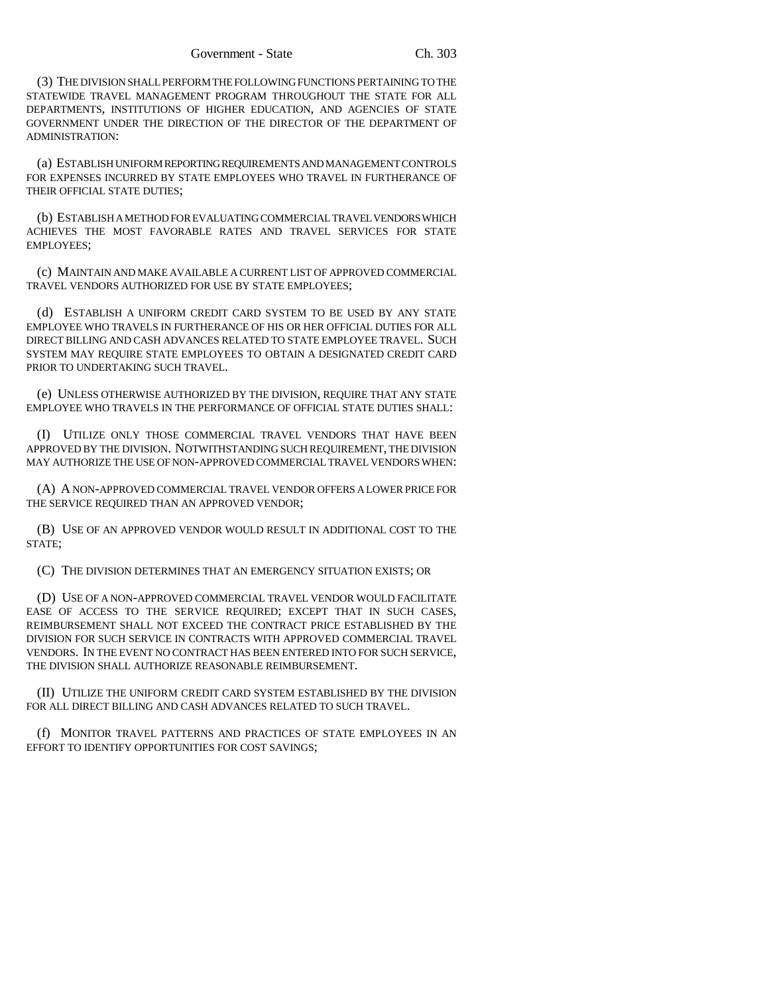(3) THE DIVISION SHALL PERFORM THE FOLLOWING FUNCTIONS PERTAINING TO THE STATEWIDE TRAVEL MANAGEMENT PROGRAM THROUGHOUT THE STATE FOR ALL DEPARTMENTS, INSTITUTIONS OF HIGHER EDUCATION, AND AGENCIES OF STATE GOVERNMENT UNDER THE DIRECTION OF THE DIRECTOR OF THE DEPARTMENT OF ADMINISTRATION:

(a) ESTABLISH UNIFORM REPORTING REQUIREMENTS AND MANAGEMENT CONTROLS FOR EXPENSES INCURRED BY STATE EMPLOYEES WHO TRAVEL IN FURTHERANCE OF THEIR OFFICIAL STATE DUTIES;

(b) ESTABLISH A METHOD FOR EVALUATING COMMERCIAL TRAVEL VENDORS WHICH ACHIEVES THE MOST FAVORABLE RATES AND TRAVEL SERVICES FOR STATE EMPLOYEES;

(c) MAINTAIN AND MAKE AVAILABLE A CURRENT LIST OF APPROVED COMMERCIAL TRAVEL VENDORS AUTHORIZED FOR USE BY STATE EMPLOYEES;

(d) ESTABLISH A UNIFORM CREDIT CARD SYSTEM TO BE USED BY ANY STATE EMPLOYEE WHO TRAVELS IN FURTHERANCE OF HIS OR HER OFFICIAL DUTIES FOR ALL DIRECT BILLING AND CASH ADVANCES RELATED TO STATE EMPLOYEE TRAVEL. SUCH SYSTEM MAY REQUIRE STATE EMPLOYEES TO OBTAIN A DESIGNATED CREDIT CARD PRIOR TO UNDERTAKING SUCH TRAVEL.

(e) UNLESS OTHERWISE AUTHORIZED BY THE DIVISION, REQUIRE THAT ANY STATE EMPLOYEE WHO TRAVELS IN THE PERFORMANCE OF OFFICIAL STATE DUTIES SHALL:

(I) UTILIZE ONLY THOSE COMMERCIAL TRAVEL VENDORS THAT HAVE BEEN APPROVED BY THE DIVISION. NOTWITHSTANDING SUCH REQUIREMENT, THE DIVISION MAY AUTHORIZE THE USE OF NON-APPROVED COMMERCIAL TRAVEL VENDORS WHEN:

(A) A NON-APPROVED COMMERCIAL TRAVEL VENDOR OFFERS A LOWER PRICE FOR THE SERVICE REQUIRED THAN AN APPROVED VENDOR;

(B) USE OF AN APPROVED VENDOR WOULD RESULT IN ADDITIONAL COST TO THE STATE;

(C) THE DIVISION DETERMINES THAT AN EMERGENCY SITUATION EXISTS; OR

(D) USE OF A NON-APPROVED COMMERCIAL TRAVEL VENDOR WOULD FACILITATE EASE OF ACCESS TO THE SERVICE REQUIRED; EXCEPT THAT IN SUCH CASES, REIMBURSEMENT SHALL NOT EXCEED THE CONTRACT PRICE ESTABLISHED BY THE DIVISION FOR SUCH SERVICE IN CONTRACTS WITH APPROVED COMMERCIAL TRAVEL VENDORS. IN THE EVENT NO CONTRACT HAS BEEN ENTERED INTO FOR SUCH SERVICE, THE DIVISION SHALL AUTHORIZE REASONABLE REIMBURSEMENT.

(II) UTILIZE THE UNIFORM CREDIT CARD SYSTEM ESTABLISHED BY THE DIVISION FOR ALL DIRECT BILLING AND CASH ADVANCES RELATED TO SUCH TRAVEL.

(f) MONITOR TRAVEL PATTERNS AND PRACTICES OF STATE EMPLOYEES IN AN EFFORT TO IDENTIFY OPPORTUNITIES FOR COST SAVINGS;